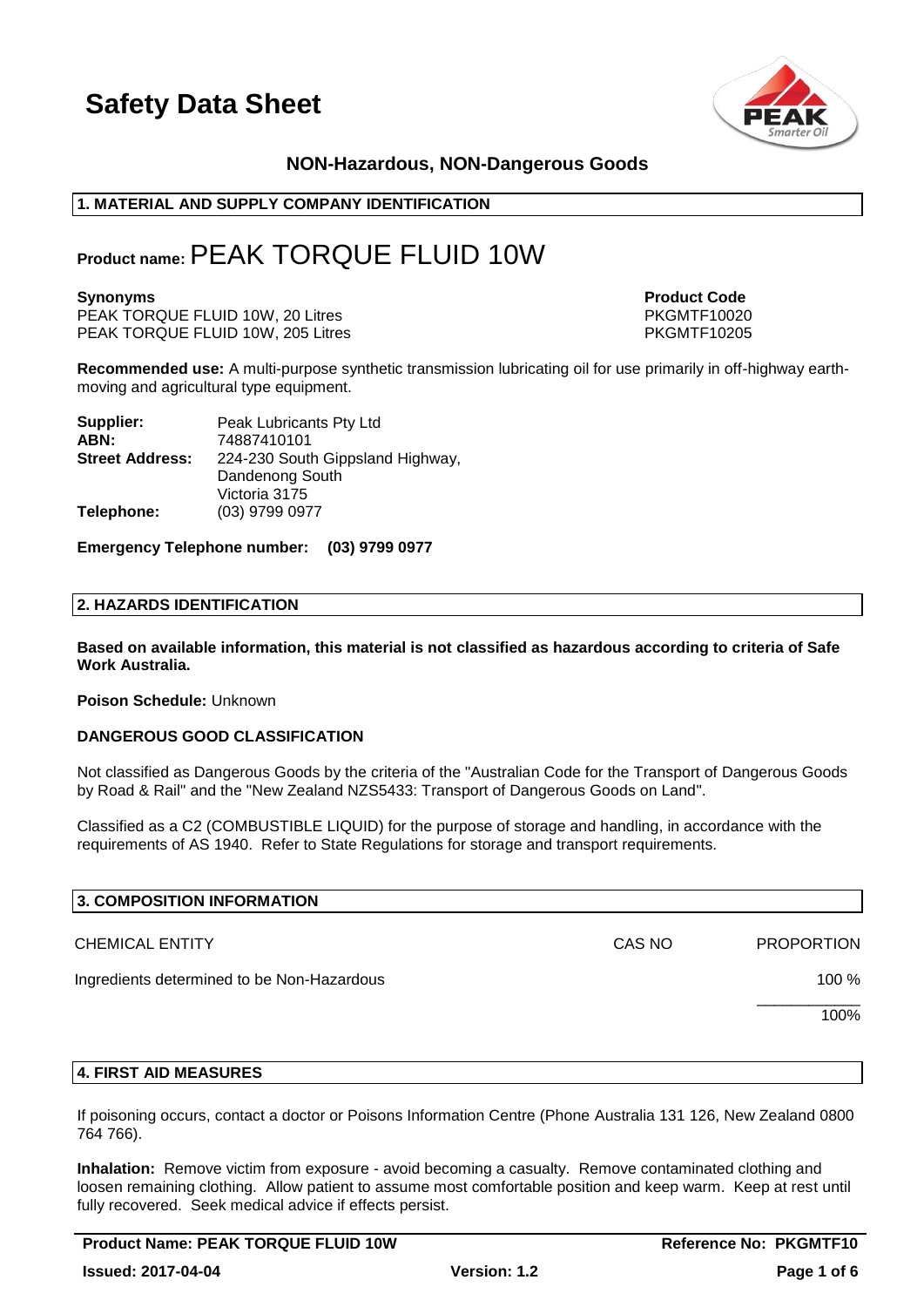

### **NON-Hazardous, NON-Dangerous Goods**

### **1. MATERIAL AND SUPPLY COMPANY IDENTIFICATION**

### **Product name:**PEAK TORQUE FLUID 10W

PEAK TORQUE FLUID 10W, 20 Litres PEAK TORQUE FLUID 10W, 20 Litres PKGMTF10020<br>PEAK TORQUE FLUID 10W, 205 Litres PKGMTF10205 PEAK TORQUE FLUID 10W, 205 Litres

**Synonyms Product Code** 

**Recommended use:** A multi-purpose synthetic transmission lubricating oil for use primarily in off-highway earthmoving and agricultural type equipment.

| Supplier:              | Peak Lubricants Pty Ltd          |
|------------------------|----------------------------------|
| ABN:                   | 74887410101                      |
| <b>Street Address:</b> | 224-230 South Gippsland Highway, |
|                        | Dandenong South                  |
|                        | Victoria 3175                    |
| Telephone:             | (03) 9799 0977                   |

**Emergency Telephone number: (03) 9799 0977**

### **2. HAZARDS IDENTIFICATION**

**Based on available information, this material is not classified as hazardous according to criteria of Safe Work Australia.**

#### **Poison Schedule:** Unknown

#### **DANGEROUS GOOD CLASSIFICATION**

Not classified as Dangerous Goods by the criteria of the "Australian Code for the Transport of Dangerous Goods by Road & Rail" and the "New Zealand NZS5433: Transport of Dangerous Goods on Land".

Classified as a C2 (COMBUSTIBLE LIQUID) for the purpose of storage and handling, in accordance with the requirements of AS 1940. Refer to State Regulations for storage and transport requirements.

| 3. COMPOSITION INFORMATION                 |        |                   |
|--------------------------------------------|--------|-------------------|
| <b>CHEMICAL ENTITY</b>                     | CAS NO | <b>PROPORTION</b> |
| Ingredients determined to be Non-Hazardous |        | 100 %             |
|                                            |        | 100%              |
|                                            |        |                   |

### **4. FIRST AID MEASURES**

If poisoning occurs, contact a doctor or Poisons Information Centre (Phone Australia 131 126, New Zealand 0800 764 766).

**Inhalation:** Remove victim from exposure - avoid becoming a casualty. Remove contaminated clothing and loosen remaining clothing. Allow patient to assume most comfortable position and keep warm. Keep at rest until fully recovered. Seek medical advice if effects persist.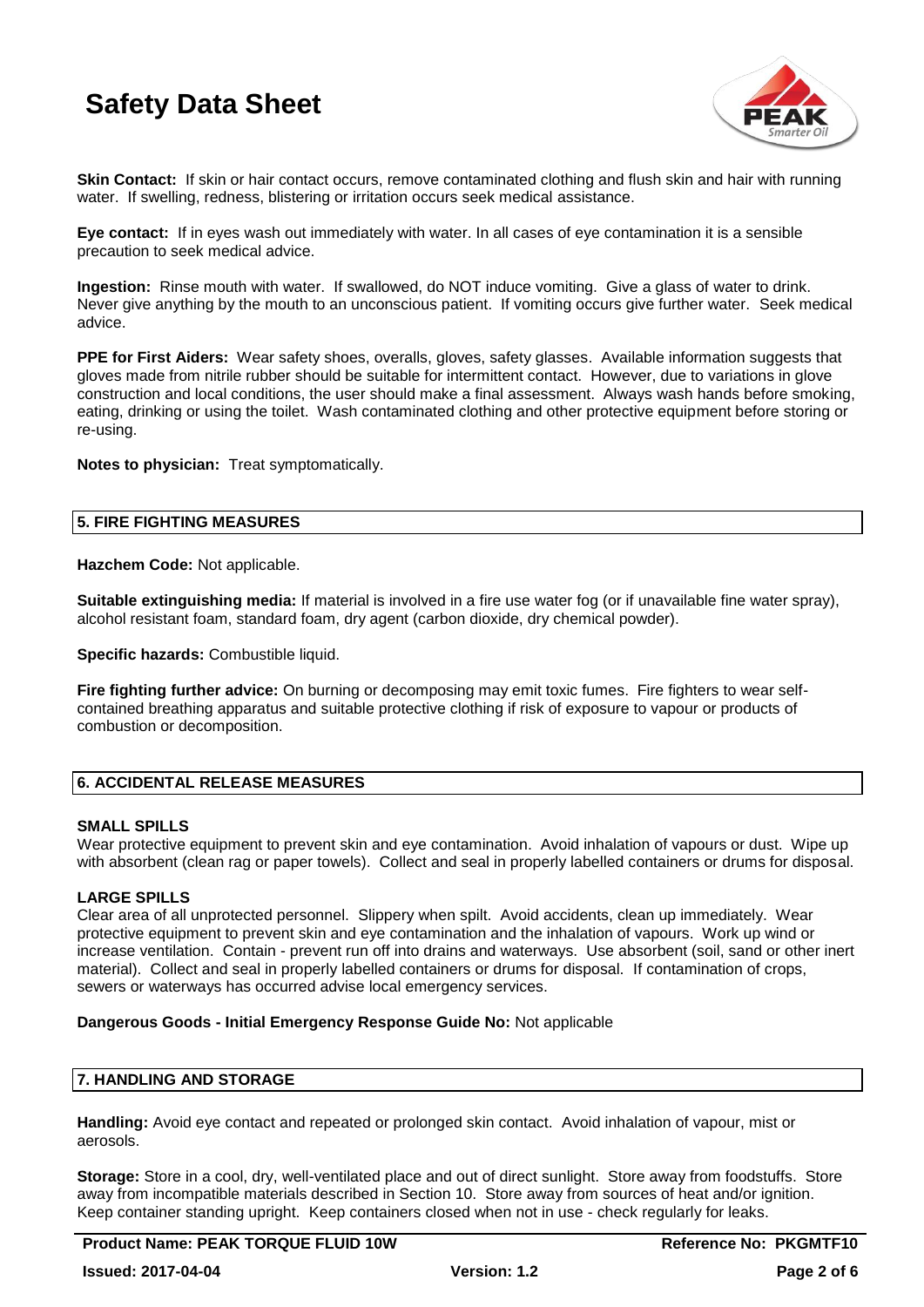

**Skin Contact:** If skin or hair contact occurs, remove contaminated clothing and flush skin and hair with running water. If swelling, redness, blistering or irritation occurs seek medical assistance.

**Eye contact:** If in eyes wash out immediately with water. In all cases of eye contamination it is a sensible precaution to seek medical advice.

**Ingestion:** Rinse mouth with water. If swallowed, do NOT induce vomiting. Give a glass of water to drink. Never give anything by the mouth to an unconscious patient. If vomiting occurs give further water. Seek medical advice.

**PPE for First Aiders:** Wear safety shoes, overalls, gloves, safety glasses. Available information suggests that gloves made from nitrile rubber should be suitable for intermittent contact. However, due to variations in glove construction and local conditions, the user should make a final assessment. Always wash hands before smoking, eating, drinking or using the toilet. Wash contaminated clothing and other protective equipment before storing or re-using.

**Notes to physician:** Treat symptomatically.

### **5. FIRE FIGHTING MEASURES**

**Hazchem Code:** Not applicable.

**Suitable extinguishing media:** If material is involved in a fire use water fog (or if unavailable fine water spray), alcohol resistant foam, standard foam, dry agent (carbon dioxide, dry chemical powder).

**Specific hazards:** Combustible liquid.

**Fire fighting further advice:** On burning or decomposing may emit toxic fumes. Fire fighters to wear selfcontained breathing apparatus and suitable protective clothing if risk of exposure to vapour or products of combustion or decomposition.

### **6. ACCIDENTAL RELEASE MEASURES**

### **SMALL SPILLS**

Wear protective equipment to prevent skin and eye contamination. Avoid inhalation of vapours or dust. Wipe up with absorbent (clean rag or paper towels). Collect and seal in properly labelled containers or drums for disposal.

### **LARGE SPILLS**

Clear area of all unprotected personnel. Slippery when spilt. Avoid accidents, clean up immediately. Wear protective equipment to prevent skin and eye contamination and the inhalation of vapours. Work up wind or increase ventilation. Contain - prevent run off into drains and waterways. Use absorbent (soil, sand or other inert material). Collect and seal in properly labelled containers or drums for disposal. If contamination of crops, sewers or waterways has occurred advise local emergency services.

#### **Dangerous Goods - Initial Emergency Response Guide No:** Not applicable

### **7. HANDLING AND STORAGE**

**Handling:** Avoid eye contact and repeated or prolonged skin contact. Avoid inhalation of vapour, mist or aerosols.

**Storage:** Store in a cool, dry, well-ventilated place and out of direct sunlight. Store away from foodstuffs. Store away from incompatible materials described in Section 10. Store away from sources of heat and/or ignition. Keep container standing upright. Keep containers closed when not in use - check regularly for leaks.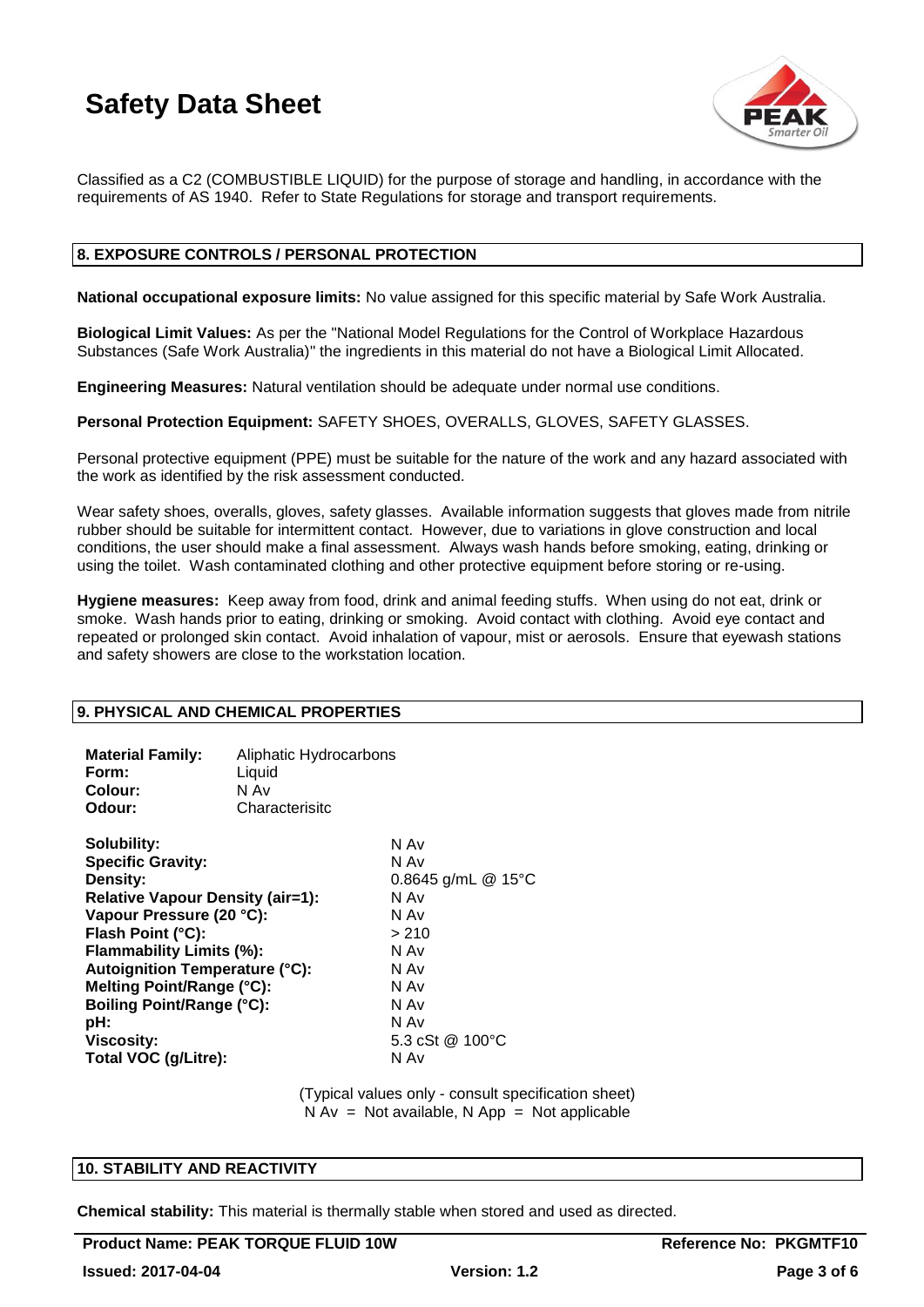

Classified as a C2 (COMBUSTIBLE LIQUID) for the purpose of storage and handling, in accordance with the requirements of AS 1940. Refer to State Regulations for storage and transport requirements.

### **8. EXPOSURE CONTROLS / PERSONAL PROTECTION**

**National occupational exposure limits:** No value assigned for this specific material by Safe Work Australia.

**Biological Limit Values:** As per the "National Model Regulations for the Control of Workplace Hazardous Substances (Safe Work Australia)" the ingredients in this material do not have a Biological Limit Allocated.

**Engineering Measures:** Natural ventilation should be adequate under normal use conditions.

**Personal Protection Equipment:** SAFETY SHOES, OVERALLS, GLOVES, SAFETY GLASSES.

Personal protective equipment (PPE) must be suitable for the nature of the work and any hazard associated with the work as identified by the risk assessment conducted.

Wear safety shoes, overalls, gloves, safety glasses. Available information suggests that gloves made from nitrile rubber should be suitable for intermittent contact. However, due to variations in glove construction and local conditions, the user should make a final assessment. Always wash hands before smoking, eating, drinking or using the toilet. Wash contaminated clothing and other protective equipment before storing or re-using.

**Hygiene measures:** Keep away from food, drink and animal feeding stuffs. When using do not eat, drink or smoke. Wash hands prior to eating, drinking or smoking. Avoid contact with clothing. Avoid eye contact and repeated or prolonged skin contact. Avoid inhalation of vapour, mist or aerosols. Ensure that eyewash stations and safety showers are close to the workstation location.

### **9. PHYSICAL AND CHEMICAL PROPERTIES**

| <b>Material Family:</b><br>Form:<br>Colour:<br>Odour:                                                                                                                                                                                                                                                                                            | Aliphatic Hydrocarbons<br>Liquid<br>N Av<br>Characterisitc |                                                                                                                                  |
|--------------------------------------------------------------------------------------------------------------------------------------------------------------------------------------------------------------------------------------------------------------------------------------------------------------------------------------------------|------------------------------------------------------------|----------------------------------------------------------------------------------------------------------------------------------|
| Solubility:<br><b>Specific Gravity:</b><br>Density:<br><b>Relative Vapour Density (air=1):</b><br>Vapour Pressure (20 °C):<br>Flash Point (°C):<br><b>Flammability Limits (%):</b><br><b>Autoignition Temperature (°C):</b><br>Melting Point/Range (°C):<br><b>Boiling Point/Range (°C):</b><br>pH:<br><b>Viscosity:</b><br>Total VOC (g/Litre): |                                                            | N Av<br>N Av<br>0.8645 g/mL $@$ 15°C<br>N Av<br>N Av<br>>210<br>N Av<br>N Av<br>N Av<br>N Av<br>N Av<br>5.3 cSt @ 100 °C<br>N Av |

(Typical values only - consult specification sheet)  $N Av = Not available, N App = Not applicable$ 

### **10. STABILITY AND REACTIVITY**

**Chemical stability:** This material is thermally stable when stored and used as directed.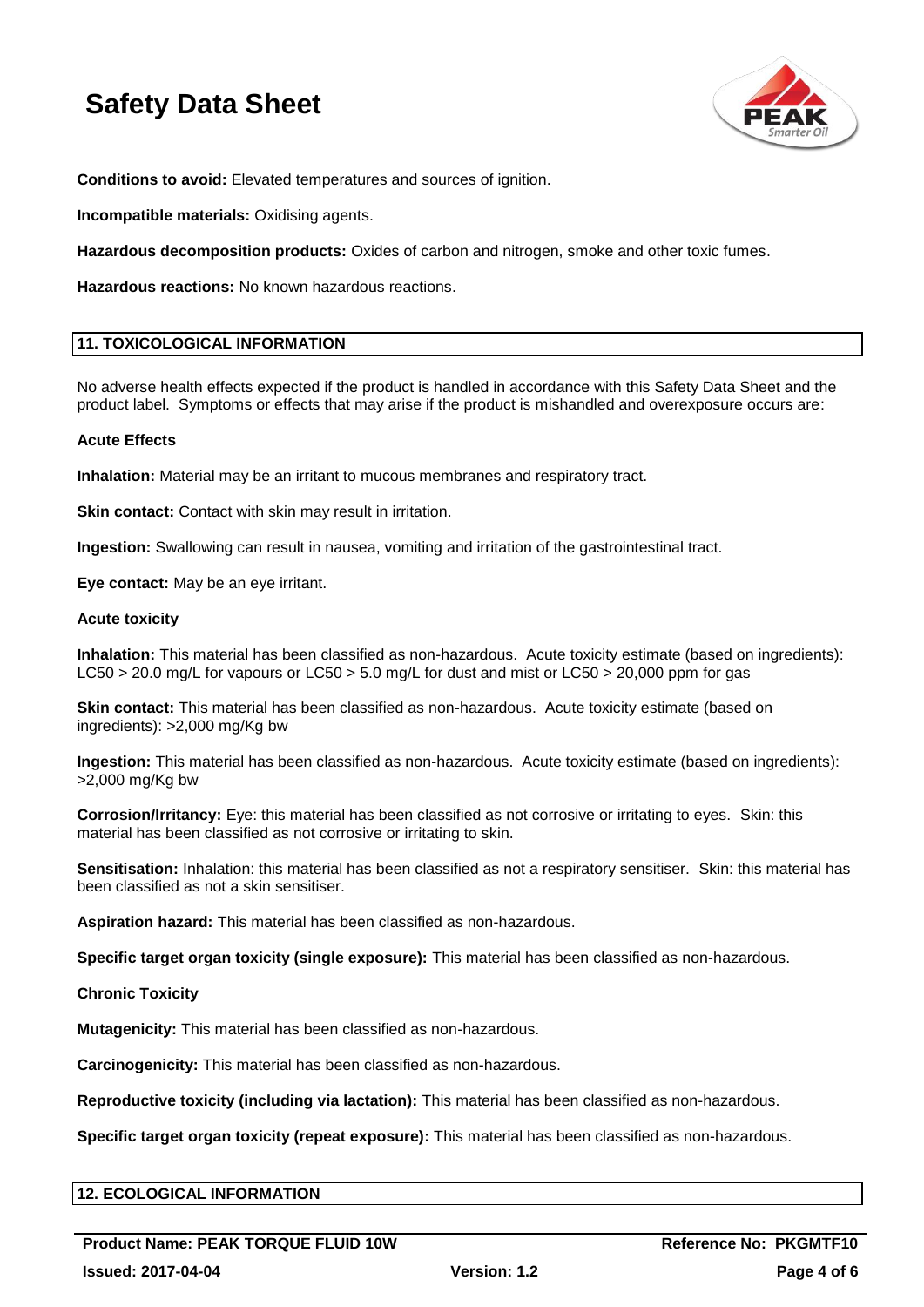

**Conditions to avoid:** Elevated temperatures and sources of ignition.

**Incompatible materials:** Oxidising agents.

**Hazardous decomposition products:** Oxides of carbon and nitrogen, smoke and other toxic fumes.

**Hazardous reactions:** No known hazardous reactions.

### **11. TOXICOLOGICAL INFORMATION**

No adverse health effects expected if the product is handled in accordance with this Safety Data Sheet and the product label. Symptoms or effects that may arise if the product is mishandled and overexposure occurs are:

### **Acute Effects**

**Inhalation:** Material may be an irritant to mucous membranes and respiratory tract.

**Skin contact:** Contact with skin may result in irritation.

**Ingestion:** Swallowing can result in nausea, vomiting and irritation of the gastrointestinal tract.

**Eye contact:** May be an eye irritant.

### **Acute toxicity**

**Inhalation:** This material has been classified as non-hazardous. Acute toxicity estimate (based on ingredients): LC50 > 20.0 mg/L for vapours or LC50 > 5.0 mg/L for dust and mist or LC50 > 20,000 ppm for gas

**Skin contact:** This material has been classified as non-hazardous. Acute toxicity estimate (based on ingredients): >2,000 mg/Kg bw

**Ingestion:** This material has been classified as non-hazardous. Acute toxicity estimate (based on ingredients): >2,000 mg/Kg bw

**Corrosion/Irritancy:** Eye: this material has been classified as not corrosive or irritating to eyes. Skin: this material has been classified as not corrosive or irritating to skin.

**Sensitisation:** Inhalation: this material has been classified as not a respiratory sensitiser. Skin: this material has been classified as not a skin sensitiser.

**Aspiration hazard:** This material has been classified as non-hazardous.

**Specific target organ toxicity (single exposure):** This material has been classified as non-hazardous.

### **Chronic Toxicity**

**Mutagenicity:** This material has been classified as non-hazardous.

**Carcinogenicity:** This material has been classified as non-hazardous.

**Reproductive toxicity (including via lactation):** This material has been classified as non-hazardous.

**Specific target organ toxicity (repeat exposure):** This material has been classified as non-hazardous.

### **12. ECOLOGICAL INFORMATION**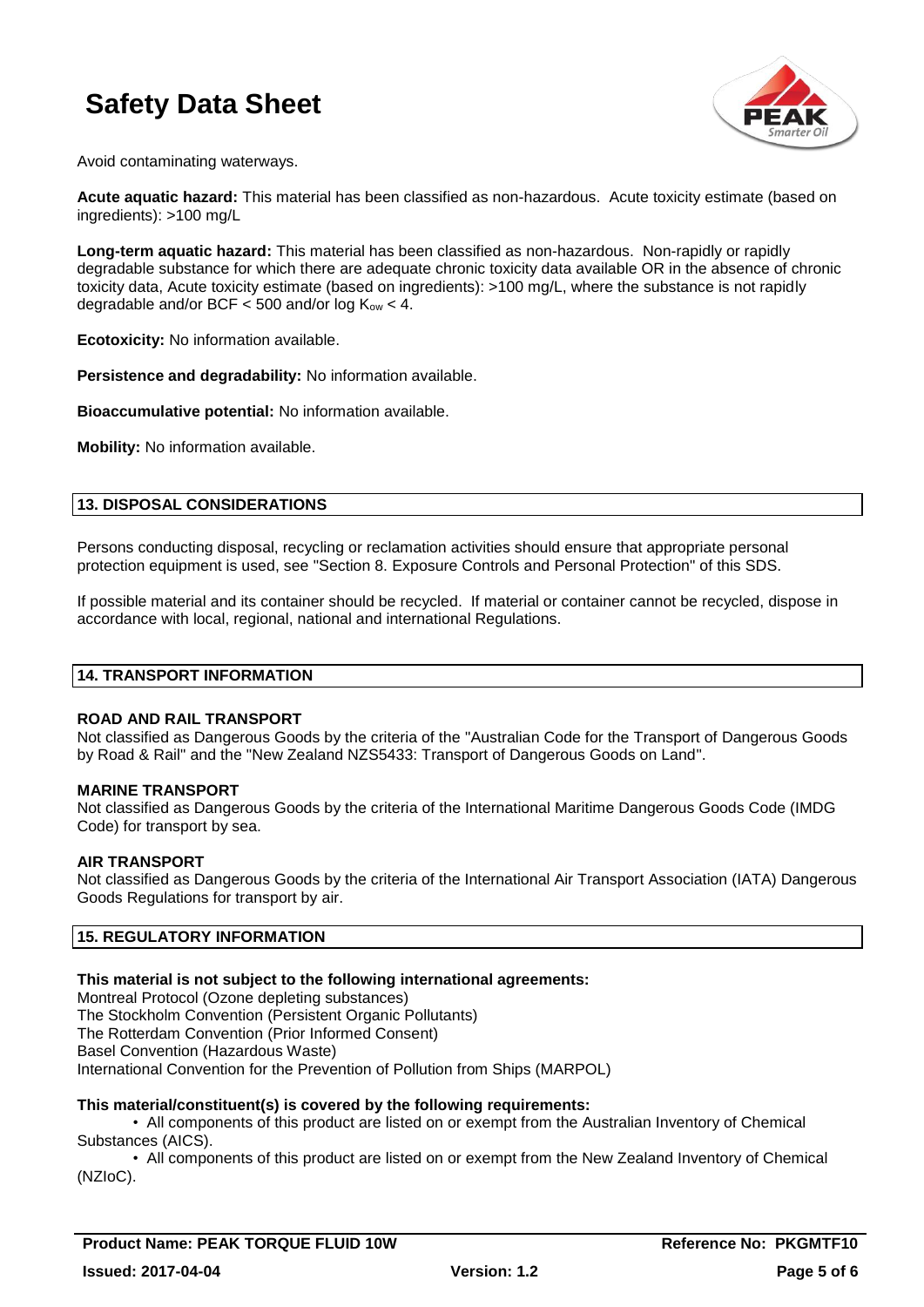

Avoid contaminating waterways.

**Acute aquatic hazard:** This material has been classified as non-hazardous. Acute toxicity estimate (based on ingredients): >100 mg/L

**Long-term aquatic hazard:** This material has been classified as non-hazardous. Non-rapidly or rapidly degradable substance for which there are adequate chronic toxicity data available OR in the absence of chronic toxicity data, Acute toxicity estimate (based on ingredients): >100 mg/L, where the substance is not rapidly degradable and/or BCF  $<$  500 and/or log  $K_{ow}$   $<$  4.

**Ecotoxicity:** No information available.

**Persistence and degradability:** No information available.

**Bioaccumulative potential:** No information available.

**Mobility:** No information available.

### **13. DISPOSAL CONSIDERATIONS**

Persons conducting disposal, recycling or reclamation activities should ensure that appropriate personal protection equipment is used, see "Section 8. Exposure Controls and Personal Protection" of this SDS.

If possible material and its container should be recycled. If material or container cannot be recycled, dispose in accordance with local, regional, national and international Regulations.

#### **14. TRANSPORT INFORMATION**

#### **ROAD AND RAIL TRANSPORT**

Not classified as Dangerous Goods by the criteria of the "Australian Code for the Transport of Dangerous Goods by Road & Rail" and the "New Zealand NZS5433: Transport of Dangerous Goods on Land".

### **MARINE TRANSPORT**

Not classified as Dangerous Goods by the criteria of the International Maritime Dangerous Goods Code (IMDG Code) for transport by sea.

### **AIR TRANSPORT**

Not classified as Dangerous Goods by the criteria of the International Air Transport Association (IATA) Dangerous Goods Regulations for transport by air.

### **15. REGULATORY INFORMATION**

### **This material is not subject to the following international agreements:**

Montreal Protocol (Ozone depleting substances) The Stockholm Convention (Persistent Organic Pollutants) The Rotterdam Convention (Prior Informed Consent) Basel Convention (Hazardous Waste) International Convention for the Prevention of Pollution from Ships (MARPOL)

### **This material/constituent(s) is covered by the following requirements:**

• All components of this product are listed on or exempt from the Australian Inventory of Chemical Substances (AICS).

• All components of this product are listed on or exempt from the New Zealand Inventory of Chemical (NZIoC).